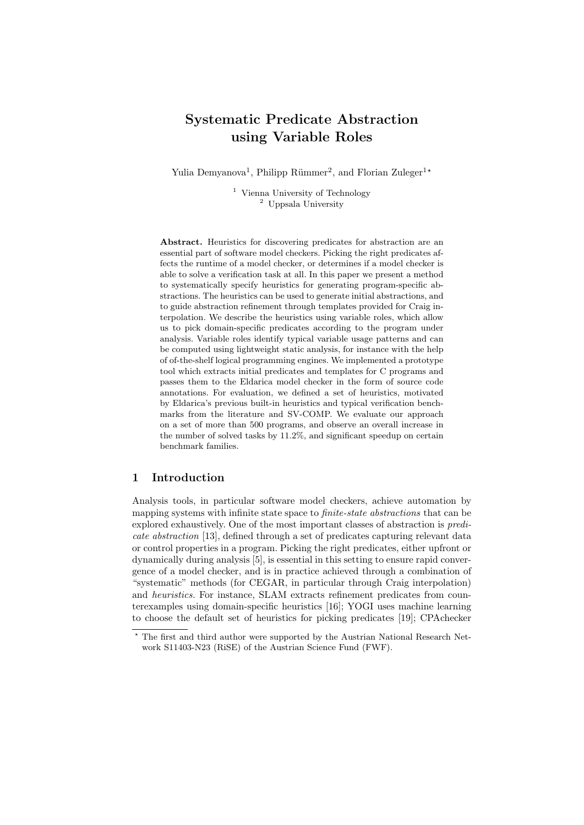# Systematic Predicate Abstraction using Variable Roles

Yulia Demyanova<sup>1</sup>, Philipp Rümmer<sup>2</sup>, and Florian Zuleger<sup>1\*</sup>

<sup>1</sup> Vienna University of Technology <sup>2</sup> Uppsala University

Abstract. Heuristics for discovering predicates for abstraction are an essential part of software model checkers. Picking the right predicates affects the runtime of a model checker, or determines if a model checker is able to solve a verification task at all. In this paper we present a method to systematically specify heuristics for generating program-specific abstractions. The heuristics can be used to generate initial abstractions, and to guide abstraction refinement through templates provided for Craig interpolation. We describe the heuristics using variable roles, which allow us to pick domain-specific predicates according to the program under analysis. Variable roles identify typical variable usage patterns and can be computed using lightweight static analysis, for instance with the help of of-the-shelf logical programming engines. We implemented a prototype tool which extracts initial predicates and templates for C programs and passes them to the Eldarica model checker in the form of source code annotations. For evaluation, we defined a set of heuristics, motivated by Eldarica's previous built-in heuristics and typical verification benchmarks from the literature and SV-COMP. We evaluate our approach on a set of more than 500 programs, and observe an overall increase in the number of solved tasks by 11.2%, and significant speedup on certain benchmark families.

## 1 Introduction

Analysis tools, in particular software model checkers, achieve automation by mapping systems with infinite state space to *finite-state abstractions* that can be explored exhaustively. One of the most important classes of abstraction is predicate abstraction [13], defined through a set of predicates capturing relevant data or control properties in a program. Picking the right predicates, either upfront or dynamically during analysis [5], is essential in this setting to ensure rapid convergence of a model checker, and is in practice achieved through a combination of "systematic" methods (for CEGAR, in particular through Craig interpolation) and heuristics. For instance, SLAM extracts refinement predicates from counterexamples using domain-specific heuristics [16]; YOGI uses machine learning to choose the default set of heuristics for picking predicates [19]; CPAchecker

<sup>?</sup> The first and third author were supported by the Austrian National Research Network S11403-N23 (RiSE) of the Austrian Science Fund (FWF).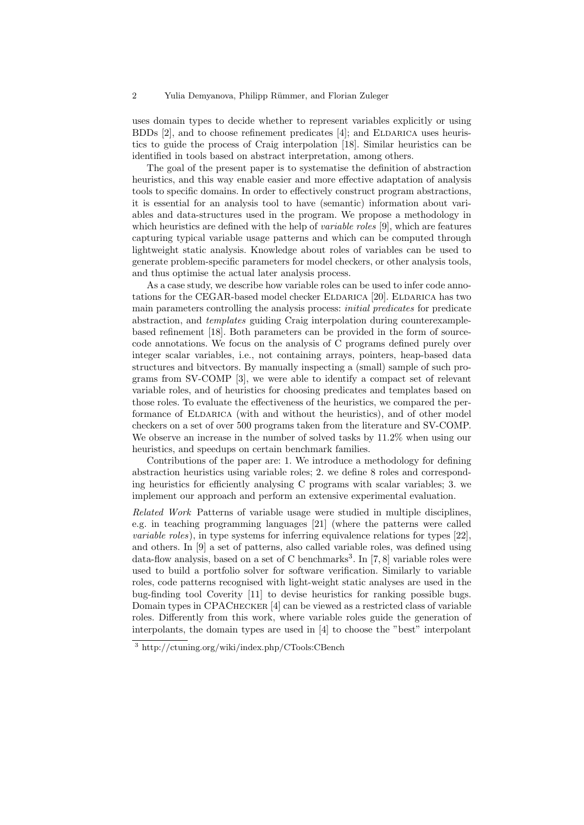#### 2 Yulia Demyanova, Philipp Rümmer, and Florian Zuleger

uses domain types to decide whether to represent variables explicitly or using BDDs  $[2]$ , and to choose refinement predicates  $[4]$ ; and ELDARICA uses heuristics to guide the process of Craig interpolation [18]. Similar heuristics can be identified in tools based on abstract interpretation, among others.

The goal of the present paper is to systematise the definition of abstraction heuristics, and this way enable easier and more effective adaptation of analysis tools to specific domains. In order to effectively construct program abstractions, it is essential for an analysis tool to have (semantic) information about variables and data-structures used in the program. We propose a methodology in which heuristics are defined with the help of *variable roles* [9], which are features capturing typical variable usage patterns and which can be computed through lightweight static analysis. Knowledge about roles of variables can be used to generate problem-specific parameters for model checkers, or other analysis tools, and thus optimise the actual later analysis process.

As a case study, we describe how variable roles can be used to infer code annotations for the CEGAR-based model checker ELDARICA [20]. ELDARICA has two main parameters controlling the analysis process: *initial predicates* for predicate abstraction, and templates guiding Craig interpolation during counterexamplebased refinement [18]. Both parameters can be provided in the form of sourcecode annotations. We focus on the analysis of C programs defined purely over integer scalar variables, i.e., not containing arrays, pointers, heap-based data structures and bitvectors. By manually inspecting a (small) sample of such programs from SV-COMP [3], we were able to identify a compact set of relevant variable roles, and of heuristics for choosing predicates and templates based on those roles. To evaluate the effectiveness of the heuristics, we compared the performance of ELDARICA (with and without the heuristics), and of other model checkers on a set of over 500 programs taken from the literature and SV-COMP. We observe an increase in the number of solved tasks by 11.2% when using our heuristics, and speedups on certain benchmark families.

Contributions of the paper are: 1. We introduce a methodology for defining abstraction heuristics using variable roles; 2. we define 8 roles and corresponding heuristics for efficiently analysing C programs with scalar variables; 3. we implement our approach and perform an extensive experimental evaluation.

Related Work Patterns of variable usage were studied in multiple disciplines, e.g. in teaching programming languages [21] (where the patterns were called variable roles), in type systems for inferring equivalence relations for types [22], and others. In [9] a set of patterns, also called variable roles, was defined using data-flow analysis, based on a set of C benchmarks<sup>3</sup>. In [7,8] variable roles were used to build a portfolio solver for software verification. Similarly to variable roles, code patterns recognised with light-weight static analyses are used in the bug-finding tool Coverity [11] to devise heuristics for ranking possible bugs. Domain types in CPAChecker [4] can be viewed as a restricted class of variable roles. Differently from this work, where variable roles guide the generation of interpolants, the domain types are used in [4] to choose the "best" interpolant

<sup>3</sup> http://ctuning.org/wiki/index.php/CTools:CBench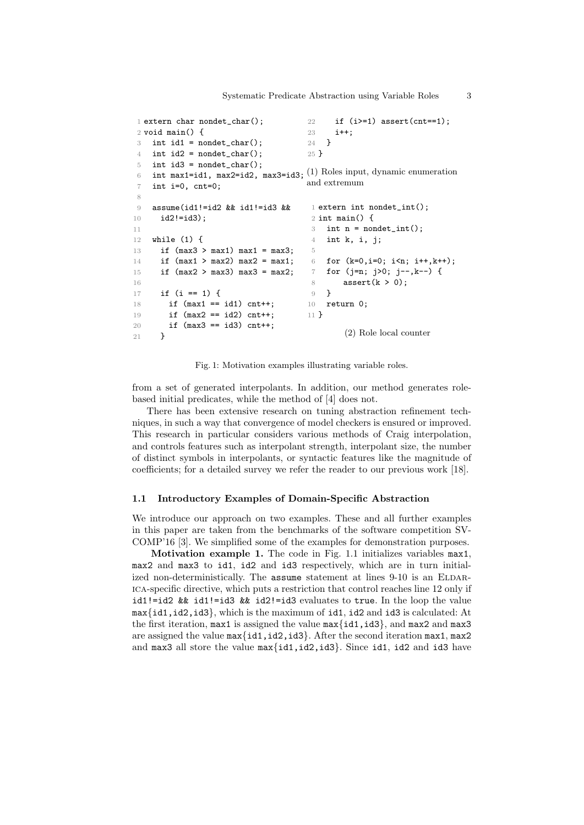```
1 extern char nondet_char();
2 void main() {
3 int id1 = nondet_{char}(;
4 int id2 = nondet_{char}(;
5 int id3 = nondet_{char}(;
 6 int max1=id1, max2=id2, max3=id3; (1) Roles input, dynamic enumeration
7 int i=0, cnt=0;
8
9 assume(id1!=id2 && id1!=id3 &&
10 id2!=id3);
11
12 while (1) {
13 if (max3 > max1) max1 = max3;
14 if (max1 > max2) max2 = max1;
15 if (max2 > max3) max3 = max2;
16
17 if (i == 1) {
18 if (max1 == id1) cnt++;
19 if (max2 == id2) cnt++;
20 if (max3 == id3) cnt++;
21 }
                                    22 if (i>=1) assert(cnt==1);
                                    23 i++;
                                    24 }
                                    25 }
                                    and extremum
                                     1 extern int nondet_int();
                                     2 int main() \{3 int n = nondet_int();
                                     4 int k, i, j;
                                     5
                                     6 for (k=0,i=0; i<n; i++,k++);
                                     7 for (j=n; j>0; j--,k--) {
                                     8 assert(k > 0);
                                     9 }
                                    10 return 0;
                                    11 }
                                            (2) Role local counter
```
Fig. 1: Motivation examples illustrating variable roles.

from a set of generated interpolants. In addition, our method generates rolebased initial predicates, while the method of [4] does not.

There has been extensive research on tuning abstraction refinement techniques, in such a way that convergence of model checkers is ensured or improved. This research in particular considers various methods of Craig interpolation, and controls features such as interpolant strength, interpolant size, the number of distinct symbols in interpolants, or syntactic features like the magnitude of coefficients; for a detailed survey we refer the reader to our previous work [18].

### 1.1 Introductory Examples of Domain-Specific Abstraction

We introduce our approach on two examples. These and all further examples in this paper are taken from the benchmarks of the software competition SV-COMP'16 [3]. We simplified some of the examples for demonstration purposes.

Motivation example 1. The code in Fig. 1.1 initializes variables max1, max2 and max3 to id1, id2 and id3 respectively, which are in turn initialized non-deterministically. The  $\alpha$  assume statement at lines 9-10 is an ELDARica-specific directive, which puts a restriction that control reaches line 12 only if id1!=id2 && id1!=id3 && id2!=id3 evaluates to true. In the loop the value max{id1,id2,id3}, which is the maximum of id1, id2 and id3 is calculated: At the first iteration,  $max1$  is assigned the value  $max\{id1, id3\}$ , and  $max2$  and  $max3$ are assigned the value max{id1,id2,id3}. After the second iteration max1, max2 and max3 all store the value max{id1,id2,id3}. Since id1, id2 and id3 have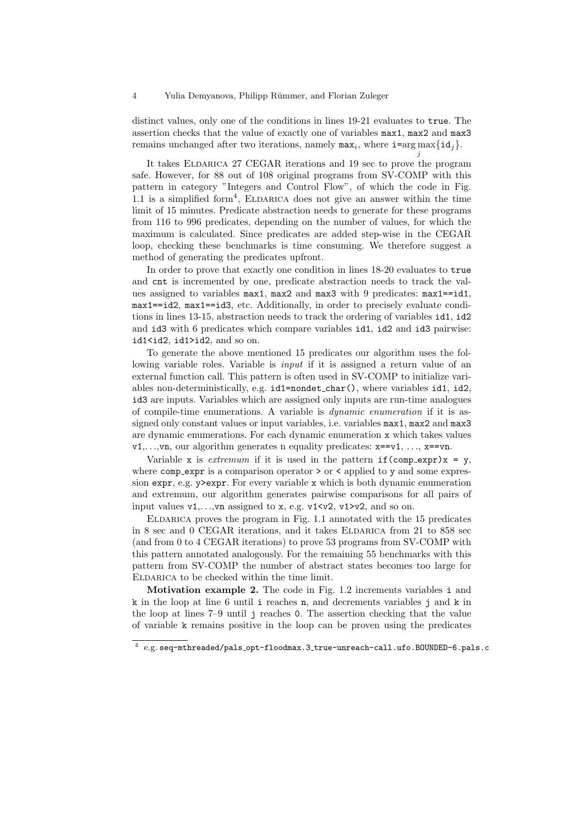distinct values, only one of the conditions in lines 19-21 evaluates to true. The assertion checks that the value of exactly one of variables max1, max2 and max3 remains unchanged after two iterations, namely  $\max_i$ , where  $i = \arg \max\{id_j\}$ .

j

It takes ELDARICA 27 CEGAR iterations and 19 sec to prove the program safe. However, for 88 out of 108 original programs from SV-COMP with this pattern in category "Integers and Control Flow", of which the code in Fig. 1.1 is a simplified form<sup>4</sup>, ELDARICA does not give an answer within the time limit of 15 minutes. Predicate abstraction needs to generate for these programs from 116 to 996 predicates, depending on the number of values, for which the maximum is calculated. Since predicates are added step-wise in the CEGAR loop, checking these benchmarks is time consuming. We therefore suggest a method of generating the predicates upfront.

In order to prove that exactly one condition in lines 18-20 evaluates to true and cnt is incremented by one, predicate abstraction needs to track the values assigned to variables max1, max2 and max3 with 9 predicates: max1==id1, max1==id2, max1==id3, etc. Additionally, in order to precisely evaluate conditions in lines 13-15, abstraction needs to track the ordering of variables id1, id2 and id3 with 6 predicates which compare variables id1, id2 and id3 pairwise: id1<id2, id1>id2, and so on.

To generate the above mentioned 15 predicates our algorithm uses the following variable roles. Variable is *input* if it is assigned a return value of an external function call. This pattern is often used in SV-COMP to initialize variables non-deterministically, e.g. id1=nondet char(), where variables id1, id2, id3 are inputs. Variables which are assigned only inputs are run-time analogues of compile-time enumerations. A variable is dynamic enumeration if it is assigned only constant values or input variables, i.e. variables max1, max2 and max3 are dynamic enumerations. For each dynamic enumeration x which takes values  $v_1, \ldots, v_n$ , our algorithm generates n equality predicates:  $x = v_1, \ldots, x == v_n$ .

Variable x is *extremum* if it is used in the pattern  $if$ (comp\_expr)x = y, where  $comp\_expr$  is a comparison operator  $>$  or  $\lt$  applied to y and some expression expr, e.g. y>expr. For every variable x which is both dynamic enumeration and extremum, our algorithm generates pairwise comparisons for all pairs of input values  $v1, \ldots, vn$  assigned to x, e.g.  $v1 \le v2$ ,  $v1 > v2$ , and so on.

Eldarica proves the program in Fig. 1.1 annotated with the 15 predicates in 8 sec and 0 CEGAR iterations, and it takes ELDARICA from 21 to 858 sec (and from 0 to 4 CEGAR iterations) to prove 53 programs from SV-COMP with this pattern annotated analogously. For the remaining 55 benchmarks with this pattern from SV-COMP the number of abstract states becomes too large for ELDARICA to be checked within the time limit.

Motivation example 2. The code in Fig. 1.2 increments variables i and k in the loop at line 6 until i reaches n, and decrements variables j and k in the loop at lines 7–9 until j reaches 0. The assertion checking that the value of variable k remains positive in the loop can be proven using the predicates

 $^4$  e.g. seq-mthreaded/pals\_opt-floodmax.3\_true-unreach-call.ufo.BOUNDED-6.pals.c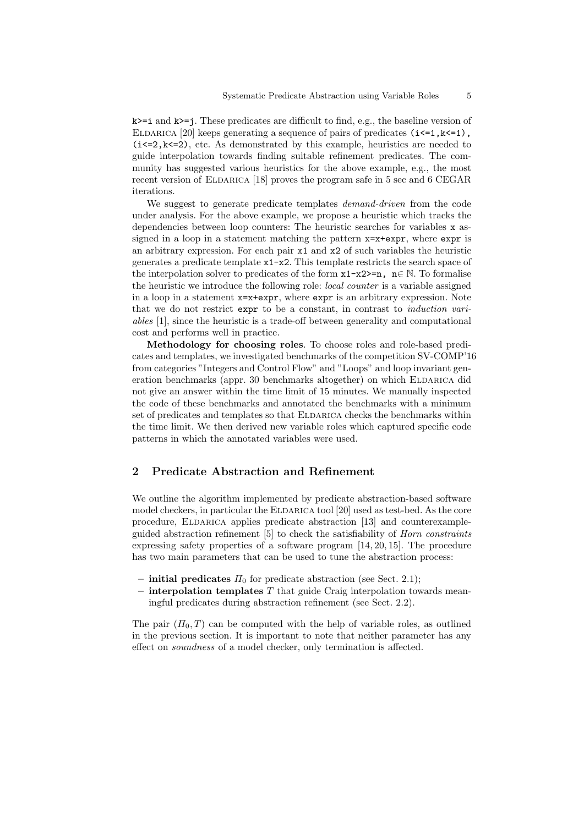k>=i and k>=j. These predicates are difficult to find, e.g., the baseline version of ELDARICA [20] keeps generating a sequence of pairs of predicates  $(i \le 1, k \le 1)$ ,  $(i \le 2, k \le 2)$ , etc. As demonstrated by this example, heuristics are needed to guide interpolation towards finding suitable refinement predicates. The community has suggested various heuristics for the above example, e.g., the most recent version of ELDARICA [18] proves the program safe in 5 sec and 6 CEGAR iterations.

We suggest to generate predicate templates *demand-driven* from the code under analysis. For the above example, we propose a heuristic which tracks the dependencies between loop counters: The heuristic searches for variables x assigned in a loop in a statement matching the pattern  $x=x+expr$ , where  $expr$  is an arbitrary expression. For each pair  $x1$  and  $x2$  of such variables the heuristic generates a predicate template x1-x2. This template restricts the search space of the interpolation solver to predicates of the form  $x1-x2>=n$ ,  $n\in\mathbb{N}$ . To formalise the heuristic we introduce the following role: local counter is a variable assigned in a loop in a statement x=x+expr, where expr is an arbitrary expression. Note that we do not restrict expr to be a constant, in contrast to induction variables [1], since the heuristic is a trade-off between generality and computational cost and performs well in practice.

Methodology for choosing roles. To choose roles and role-based predicates and templates, we investigated benchmarks of the competition SV-COMP'16 from categories "Integers and Control Flow" and "Loops" and loop invariant generation benchmarks (appr. 30 benchmarks altogether) on which ELDARICA did not give an answer within the time limit of 15 minutes. We manually inspected the code of these benchmarks and annotated the benchmarks with a minimum set of predicates and templates so that ELDARICA checks the benchmarks within the time limit. We then derived new variable roles which captured specific code patterns in which the annotated variables were used.

### 2 Predicate Abstraction and Refinement

We outline the algorithm implemented by predicate abstraction-based software model checkers, in particular the ELDARICA tool [20] used as test-bed. As the core procedure, Eldarica applies predicate abstraction [13] and counterexampleguided abstraction refinement [5] to check the satisfiability of Horn constraints expressing safety properties of a software program [14, 20, 15]. The procedure has two main parameters that can be used to tune the abstraction process:

- initial predicates  $\Pi_0$  for predicate abstraction (see Sect. 2.1);
- $-$  interpolation templates T that guide Craig interpolation towards meaningful predicates during abstraction refinement (see Sect. 2.2).

The pair  $(\Pi_0, T)$  can be computed with the help of variable roles, as outlined in the previous section. It is important to note that neither parameter has any effect on soundness of a model checker, only termination is affected.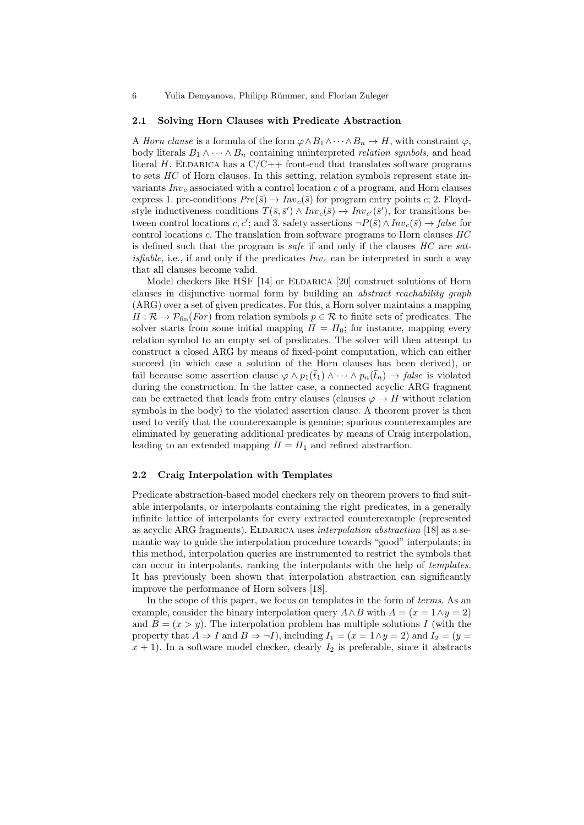6 Yulia Demyanova, Philipp Rümmer, and Florian Zuleger

#### 2.1 Solving Horn Clauses with Predicate Abstraction

A Horn clause is a formula of the form  $\varphi \wedge B_1 \wedge \cdots \wedge B_n \to H$ , with constraint  $\varphi$ , body literals  $B_1 \wedge \cdots \wedge B_n$  containing uninterpreted *relation symbols*, and head literal H. ELDARICA has a  $C/C++$  front-end that translates software programs to sets HC of Horn clauses. In this setting, relation symbols represent state invariants  $Inv<sub>c</sub>$  associated with a control location c of a program, and Horn clauses express 1. pre-conditions  $Pre(\bar{s}) \to Inv_c(\bar{s})$  for program entry points c; 2. Floydstyle inductiveness conditions  $T(\bar{s}, \bar{s}') \wedge Inv_c(\bar{s}) \to Inv_{c'}(\bar{s}')$ , for transitions between control locations  $c, c'$ ; and 3. safety assertions  $\neg P(\bar{s}) \wedge Inv_{c}(\bar{s}) \rightarrow false$  for control locations c. The translation from software programs to Horn clauses HC is defined such that the program is safe if and only if the clauses  $HC$  are sat*isfiable*, i.e., if and only if the predicates  $Inv<sub>c</sub>$  can be interpreted in such a way that all clauses become valid.

Model checkers like HSF  $[14]$  or ELDARICA  $[20]$  construct solutions of Horn clauses in disjunctive normal form by building an abstract reachability graph (ARG) over a set of given predicates. For this, a Horn solver maintains a mapping  $\Pi : \mathcal{R} \to \mathcal{P}_{fin}(For)$  from relation symbols  $p \in \mathcal{R}$  to finite sets of predicates. The solver starts from some initial mapping  $\Pi = \Pi_0$ ; for instance, mapping every relation symbol to an empty set of predicates. The solver will then attempt to construct a closed ARG by means of fixed-point computation, which can either succeed (in which case a solution of the Horn clauses has been derived), or fail because some assertion clause  $\varphi \wedge p_1(\bar{t}_1) \wedge \cdots \wedge p_n(\bar{t}_n) \rightarrow \text{false}$  is violated during the construction. In the latter case, a connected acyclic ARG fragment can be extracted that leads from entry clauses (clauses  $\varphi \to H$  without relation symbols in the body) to the violated assertion clause. A theorem prover is then used to verify that the counterexample is genuine; spurious counterexamples are eliminated by generating additional predicates by means of Craig interpolation, leading to an extended mapping  $\Pi = \Pi_1$  and refined abstraction.

### 2.2 Craig Interpolation with Templates

Predicate abstraction-based model checkers rely on theorem provers to find suitable interpolants, or interpolants containing the right predicates, in a generally infinite lattice of interpolants for every extracted counterexample (represented as acyclic ARG fragments). ELDARICA uses interpolation abstraction  $[18]$  as a semantic way to guide the interpolation procedure towards "good" interpolants; in this method, interpolation queries are instrumented to restrict the symbols that can occur in interpolants, ranking the interpolants with the help of templates. It has previously been shown that interpolation abstraction can significantly improve the performance of Horn solvers [18].

In the scope of this paper, we focus on templates in the form of *terms*. As an example, consider the binary interpolation query  $A \wedge B$  with  $A = (x = 1 \wedge y = 2)$ and  $B = (x > y)$ . The interpolation problem has multiple solutions I (with the property that  $A \Rightarrow I$  and  $B \Rightarrow \neg I$ ), including  $I_1 = (x = 1 \land y = 2)$  and  $I_2 = (y = 1 \land y = 1)$  $x + 1$ ). In a software model checker, clearly  $I_2$  is preferable, since it abstracts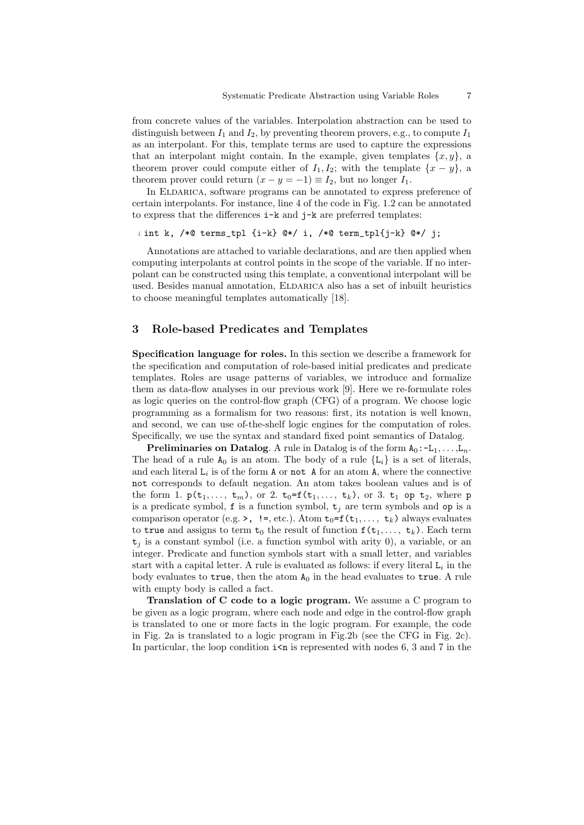from concrete values of the variables. Interpolation abstraction can be used to distinguish between  $I_1$  and  $I_2$ , by preventing theorem provers, e.g., to compute  $I_1$ as an interpolant. For this, template terms are used to capture the expressions that an interpolant might contain. In the example, given templates  $\{x, y\}$ , a theorem prover could compute either of  $I_1, I_2$ ; with the template  $\{x - y\}$ , a theorem prover could return  $(x - y = -1) \equiv I_2$ , but no longer  $I_1$ .

In ELDARICA, software programs can be annotated to express preference of certain interpolants. For instance, line 4 of the code in Fig. 1.2 can be annotated to express that the differences i-k and j-k are preferred templates:

```
4 int k, /*@ terms_tpl {i-k} @*/ i, /*@ term_tpl{j-k} @*/ j;
```
Annotations are attached to variable declarations, and are then applied when computing interpolants at control points in the scope of the variable. If no interpolant can be constructed using this template, a conventional interpolant will be used. Besides manual annotation, ELDARICA also has a set of inbuilt heuristics to choose meaningful templates automatically [18].

### 3 Role-based Predicates and Templates

Specification language for roles. In this section we describe a framework for the specification and computation of role-based initial predicates and predicate templates. Roles are usage patterns of variables, we introduce and formalize them as data-flow analyses in our previous work [9]. Here we re-formulate roles as logic queries on the control-flow graph (CFG) of a program. We choose logic programming as a formalism for two reasons: first, its notation is well known, and second, we can use of-the-shelf logic engines for the computation of roles. Specifically, we use the syntax and standard fixed point semantics of Datalog.

**Preliminaries on Datalog.** A rule in Datalog is of the form  $A_0: L_1, \ldots, L_n$ . The head of a rule  $A_0$  is an atom. The body of a rule  ${L_i}$  is a set of literals, and each literal  $L_i$  is of the form A or not A for an atom A, where the connective not corresponds to default negation. An atom takes boolean values and is of the form 1.  $p(t_1, ..., t_m)$ , or 2.  $t_0 = f(t_1, ..., t_k)$ , or 3.  $t_1$  op  $t_2$ , where p is a predicate symbol, f is a function symbol,  $t_j$  are term symbols and op is a comparison operator (e.g. >, !=, etc.). Atom  $t_0 = f(t_1, \ldots, t_k)$  always evaluates to true and assigns to term  $t_0$  the result of function  $f(t_1, \ldots, t_k)$ . Each term  $t_i$  is a constant symbol (i.e. a function symbol with arity 0), a variable, or an integer. Predicate and function symbols start with a small letter, and variables start with a capital letter. A rule is evaluated as follows: if every literal  $L_i$  in the body evaluates to true, then the atom  $A_0$  in the head evaluates to true. A rule with empty body is called a fact.

Translation of C code to a logic program. We assume a C program to be given as a logic program, where each node and edge in the control-flow graph is translated to one or more facts in the logic program. For example, the code in Fig. 2a is translated to a logic program in Fig.2b (see the CFG in Fig. 2c). In particular, the loop condition  $i \leq n$  is represented with nodes 6, 3 and 7 in the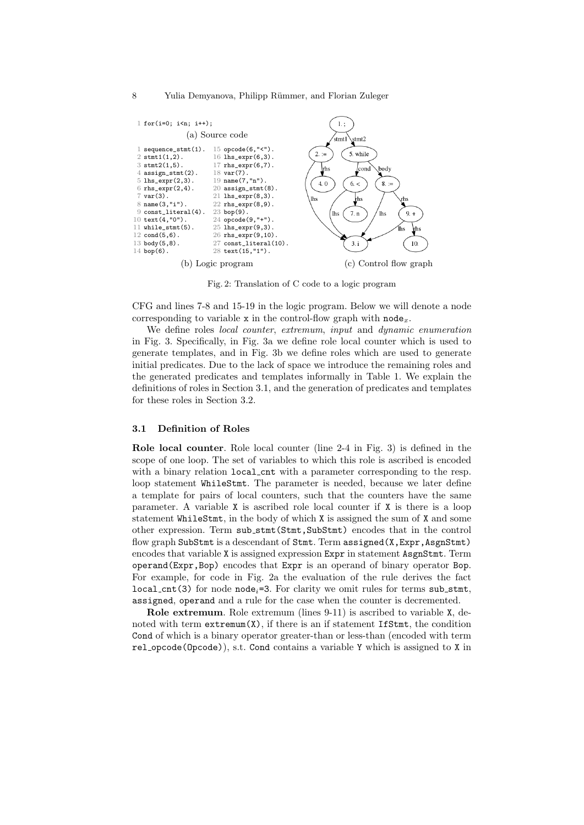#### 8 Yulia Demyanova, Philipp Rümmer, and Florian Zuleger



Fig. 2: Translation of C code to a logic program

CFG and lines 7-8 and 15-19 in the logic program. Below we will denote a node corresponding to variable x in the control-flow graph with  $\text{node}_x$ .

We define roles *local counter, extremum, input* and *dynamic enumeration* in Fig. 3. Specifically, in Fig. 3a we define role local counter which is used to generate templates, and in Fig. 3b we define roles which are used to generate initial predicates. Due to the lack of space we introduce the remaining roles and the generated predicates and templates informally in Table 1. We explain the definitions of roles in Section 3.1, and the generation of predicates and templates for these roles in Section 3.2.

### 3.1 Definition of Roles

Role local counter. Role local counter (line 2-4 in Fig. 3) is defined in the scope of one loop. The set of variables to which this role is ascribed is encoded with a binary relation local cnt with a parameter corresponding to the resp. loop statement WhileStmt. The parameter is needed, because we later define a template for pairs of local counters, such that the counters have the same parameter. A variable X is ascribed role local counter if X is there is a loop statement WhileStmt, in the body of which X is assigned the sum of X and some other expression. Term sub stmt(Stmt,SubStmt) encodes that in the control flow graph SubStmt is a descendant of Stmt. Term assigned(X, Expr, AsgnStmt) encodes that variable X is assigned expression Expr in statement AsgnStmt. Term operand(Expr,Bop) encodes that Expr is an operand of binary operator Bop. For example, for code in Fig. 2a the evaluation of the rule derives the fact  $local_{\text{cont}}(3)$  for node node<sub>i</sub>=3. For clarity we omit rules for terms sub\_stmt, assigned, operand and a rule for the case when the counter is decremented.

Role extremum. Role extremum (lines 9-11) is ascribed to variable X, denoted with term  $extremum(X)$ , if there is an if statement IfStmt, the condition Cond of which is a binary operator greater-than or less-than (encoded with term rel opcode(Opcode)), s.t. Cond contains a variable Y which is assigned to X in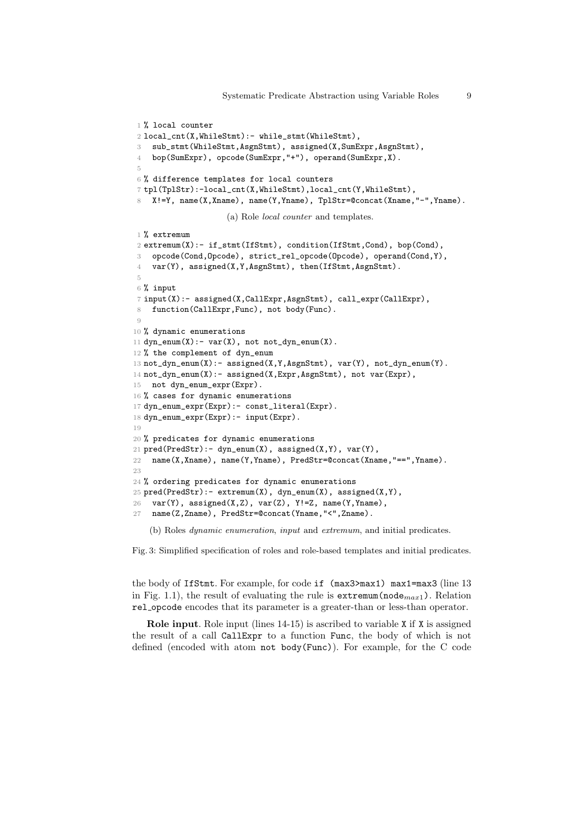```
1% local counter
2 local_cnt(X,WhileStmt):- while_stmt(WhileStmt),
3 sub_stmt(WhileStmt,AsgnStmt), assigned(X,SumExpr,AsgnStmt),
4 bop(SumExpr), opcode(SumExpr,"+"), operand(SumExpr,X).
 5
6 % difference templates for local counters
7 tpl(TplStr):-local_cnt(X,WhileStmt),local_cnt(Y,WhileStmt),
8 X!=Y, name(X,Xname), name(Y,Yname), TplStr=@concat(Xname,"-",Yname).
                     (a) Role local counter and templates.
1 % extremum
2 extremum(X):- if_stmt(IfStmt), condition(IfStmt,Cond), bop(Cond),
3 opcode(Cond,Opcode), strict_rel_opcode(Opcode), operand(Cond,Y),
4 var(Y), assigned(X,Y,AsgnStmt), then(IfStmt,AsgnStmt).
 5
6 % input
7 input(X):- assigned(X,CallExpr,AsgnStmt), call_expr(CallExpr),
8 function(CallExpr, Func), not body(Func).
\Omega10 % dynamic enumerations
11 dyn_{\text{e}}num(X):- var(X), not not_dyn_enum(X).
12 % the complement of dyn_enum
13 not\_dyn\_enum(X): assigned(X, Y, AsgnStmt), var(Y), not\_dyn\_enum(Y).
14 not_dyn_enum(X):- assigned(X,Expr,AsgnStmt), not var(Expr),
15 not dyn_enum_expr(Expr).
16 % cases for dynamic enumerations
17 dyn_enum_expr(Expr):- const_literal(Expr).
18 dyn_enum_expr(Expr):- input(Expr).
19
20 % predicates for dynamic enumerations
21 pred(PredStr):- dyn_enum(X), assigned(X,Y), var(Y),
22 name(X,Xname), name(Y,Yname), PredStr=@concat(Xname,"==",Yname).
23
24 % ordering predicates for dynamic enumerations
25 pred(PredStr):- extremum(X), dyn_enum(X), assigned(X,Y),
26 var(Y), assigned(X,Z), var(Z), Y!=Z, name(Y, Yname),
27 name(Z,Zname), PredStr=@concat(Yname,"<",Zname).
```
(b) Roles dynamic enumeration, input and extremum, and initial predicates.

Fig. 3: Simplified specification of roles and role-based templates and initial predicates.

the body of IfStmt. For example, for code if (max3>max1) max1=max3 (line 13 in Fig. 1.1), the result of evaluating the rule is  $extremum(node_{max1})$ . Relation rel opcode encodes that its parameter is a greater-than or less-than operator.

Role input. Role input (lines 14-15) is ascribed to variable X if X is assigned the result of a call CallExpr to a function Func, the body of which is not defined (encoded with atom not body(Func)). For example, for the C code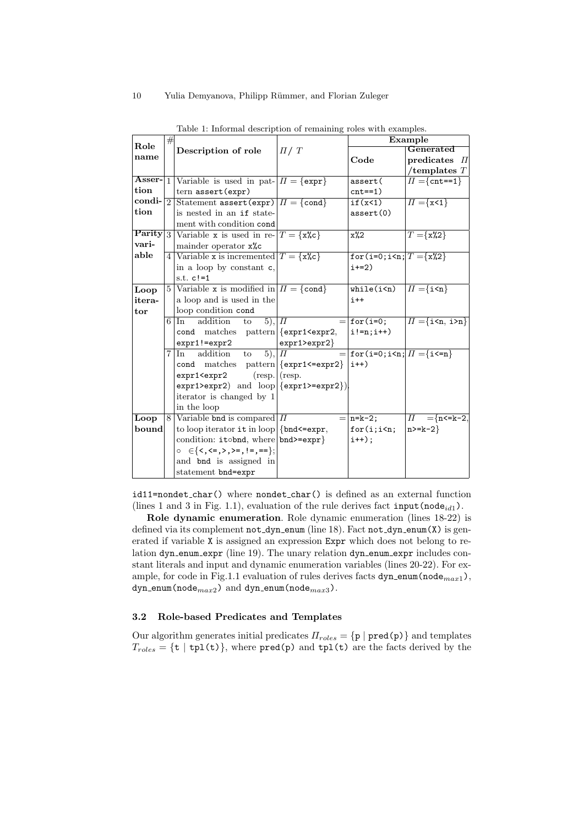|        | # | Description of role                                                                                                                     |               | Example                                            |                                      |
|--------|---|-----------------------------------------------------------------------------------------------------------------------------------------|---------------|----------------------------------------------------|--------------------------------------|
| Role   |   |                                                                                                                                         | $\pi/T$       |                                                    | Generated                            |
| name   |   |                                                                                                                                         |               | Code                                               | predicates $\Pi$                     |
|        |   |                                                                                                                                         |               |                                                    | /templates $T$                       |
|        |   | <b>Asser-</b> 1 Variable is used in pat- $\Pi$ = {expr}                                                                                 |               | assert(                                            | $\Pi = \{\texttt{cnt==1}\}\$         |
| tion   |   | $tern$ assert (expr)                                                                                                                    |               | $cnt==1)$                                          |                                      |
| condi- |   | 2 Statement assert (expr) $\Pi = \{\text{cond}\}\$                                                                                      |               | if(x<1)                                            | $\Pi = \{x\leq 1\}$                  |
| tion   |   | is nested in an if state-                                                                                                               |               | assert(0)                                          |                                      |
|        |   | ment with condition cond                                                                                                                |               |                                                    |                                      |
| Parity |   | 3 Variable x is used in re- $T = \{x\&c\}$                                                                                              |               | $x\frac{0}{2}$                                     | $\overline{T} = \{ \mathbf{x\%2} \}$ |
| vari-  |   | mainder operator $x\text{%c}$                                                                                                           |               |                                                    |                                      |
| able   |   | 4 Variable x is incremented $T = \{x\&c\}$                                                                                              |               | for (i=0; i <n; <math="">T = \{x\&amp;2\}</n;>     |                                      |
|        |   | in a loop by constant c,                                                                                                                |               | $i+=2)$                                            |                                      |
|        |   | s.t. $c!=1$                                                                                                                             |               |                                                    |                                      |
| Loop   |   | 5   Variable x is modified in $\Pi = \{\text{cond}\}\$                                                                                  |               | $\texttt{while}(\texttt{i}\texttt{<}\texttt{n})$   | $\Pi = \{i \le n\}$                  |
| itera- |   | a loop and is used in the                                                                                                               |               | $i++$                                              |                                      |
| tor    |   | loop condition cond                                                                                                                     |               |                                                    |                                      |
|        |   | addition<br>$5),  \Pi$<br>$6 \mid \ln$<br>to                                                                                            |               | $=$ for(i=0;                                       | $\Pi = \{i \le n, i \ge n\}$         |
|        |   | cond matches pattern { {expr1 <expr2,< th=""><th></th><th><math>i!=n; i++)</math></th><th></th></expr2,<>                               |               | $i!=n; i++)$                                       |                                      |
|        |   | $expr1!=expr2$                                                                                                                          | expr1>expr2   |                                                    |                                      |
|        |   | $\overline{(5)}, \overline{\Pi}$<br>$7 \vert \ln$<br>addition to                                                                        |               | $=$ for (i=0; i <n; <math="">\Pi ={i &lt;= n}</n;> |                                      |
|        |   | cond matches pattern { {expr1<=expr2}                                                                                                   |               | $i++)$                                             |                                      |
|        |   | expr1 <expr2< th=""><th>(resp. (resp.</th><th></th><th></th></expr2<>                                                                   | (resp. (resp. |                                                    |                                      |
|        |   | $expr1>expr2$ and $loop {expr1>=expr2} $                                                                                                |               |                                                    |                                      |
|        |   | iterator is changed by 1                                                                                                                |               |                                                    |                                      |
|        |   | in the loop                                                                                                                             |               |                                                    |                                      |
| Loop   |   | 8 Variable bnd is compared $\Pi$                                                                                                        |               | $=$   n=k-2;                                       | $\Pi^-$<br>$=\n  n < k - 2,$         |
| bound  |   | to loop iterator it in loop $\{\text{bnd} \leq \text{expr},\}$                                                                          |               | $for(i; i\leq n;$                                  | $n>=k-2$                             |
|        |   | condition: itobnd, where bnd>=expr}                                                                                                     |               | $i^{++}$ :                                         |                                      |
|        |   | $\circ \in \{ \langle \langle \cdot, \cdot \rangle, \rangle = \langle \cdot \rangle = \langle \cdot \rangle = \langle \cdot \rangle \}$ |               |                                                    |                                      |
|        |   | and bnd is assigned in                                                                                                                  |               |                                                    |                                      |
|        |   | statement bnd=expr                                                                                                                      |               |                                                    |                                      |

Table 1: Informal description of remaining roles with examples.

id11=nondet char() where nondet char() is defined as an external function (lines 1 and 3 in Fig. 1.1), evaluation of the rule derives fact input (node $_{id1}$ ).

Role dynamic enumeration. Role dynamic enumeration (lines 18-22) is defined via its complement not\_dyn\_enum (line 18). Fact not\_dyn\_enum(X) is generated if variable X is assigned an expression Expr which does not belong to relation dyn enum expr (line 19). The unary relation dyn enum expr includes constant literals and input and dynamic enumeration variables (lines 20-22). For example, for code in Fig.1.1 evaluation of rules derives facts  $dyn_{\text{enum}}(node_{max1})$ ,  $dyn_{enum}(node_{max2})$  and  $dyn_{enum}(node_{max3})$ .

### 3.2 Role-based Predicates and Templates

Our algorithm generates initial predicates  $\Pi_{roles} = \{p \mid pred(p)\}\$ and templates  $T_{roles} = \{t \mid tp1(t)\}\$ , where  $pred(p)$  and  $tp1(t)$  are the facts derived by the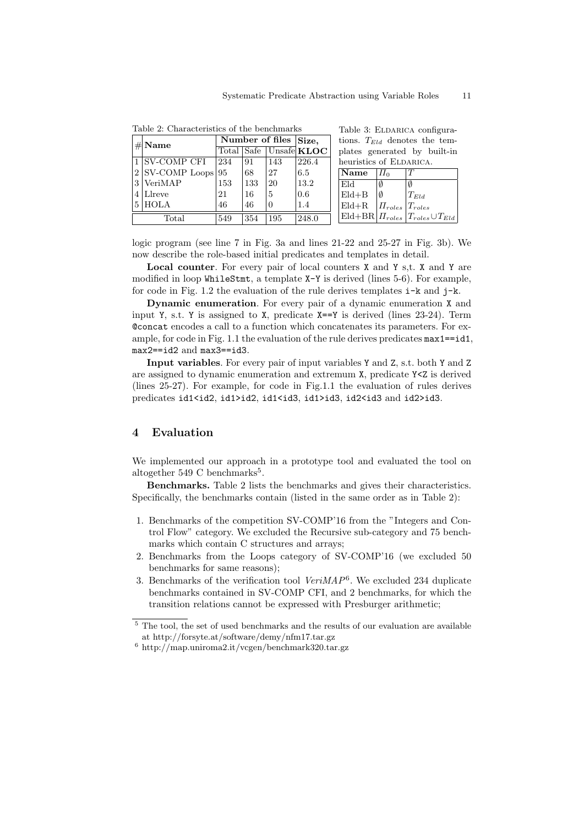Table 3: ELDARICA configura-

| $\#$ Name            | Number of files $\vert$ Size. |     |          |                        | tions. $T_{Eld}$ denotes the tem-                                 |  |  |
|----------------------|-------------------------------|-----|----------|------------------------|-------------------------------------------------------------------|--|--|
|                      |                               |     |          | Total Safe Unsafe KLOC | plates generated by built-in                                      |  |  |
| 1 SV-COMP CFI        | 234                           | 91  | 143      | 226.4                  | heuristics of ELDARICA.                                           |  |  |
| $2$ SV-COMP Loops 95 |                               | 68  | 27       | 6.5                    | $\mathbf N$ ame<br>$\Pi_0$<br>IТ                                  |  |  |
| $3$ VeriMAP          | 153                           | 133 | 20       | 13.2                   | Eld<br>Ø                                                          |  |  |
| $4$ Llreve           | 21                            | -16 | 5        | 0.6                    | Eld+B<br>Ø<br>$T_{Eld}$                                           |  |  |
| $5$ HOLA             | 46                            | 46  | $\theta$ | 1.4                    | $Eld + R$<br>$  \prod_{roles}   T_{roles}  $                      |  |  |
| Total                | 549                           | 354 | 195      | 248.0                  | $\text{Eld} + \text{BR}   \Pi_{roles}   T_{roles} \cup T_{Eld}  $ |  |  |

Table 2: Characteristics of the benchmarks

logic program (see line 7 in Fig. 3a and lines 21-22 and 25-27 in Fig. 3b). We now describe the role-based initial predicates and templates in detail.

Local counter. For every pair of local counters X and Y s,t. X and Y are modified in loop WhileStmt, a template X-Y is derived (lines 5-6). For example, for code in Fig. 1.2 the evaluation of the rule derives templates  $i-k$  and  $j-k$ .

Dynamic enumeration. For every pair of a dynamic enumeration X and input Y, s.t. Y is assigned to X, predicate X==Y is derived (lines 23-24). Term @concat encodes a call to a function which concatenates its parameters. For example, for code in Fig. 1.1 the evaluation of the rule derives predicates  $max1==id1$ , max2==id2 and max3==id3.

Input variables. For every pair of input variables Y and Z, s.t. both Y and Z are assigned to dynamic enumeration and extremum X, predicate Y<Z is derived (lines 25-27). For example, for code in Fig.1.1 the evaluation of rules derives predicates id1<id2, id1>id2, id1<id3, id1>id3, id2<id3 and id2>id3.

### 4 Evaluation

We implemented our approach in a prototype tool and evaluated the tool on altogether  $549$  C benchmarks<sup>5</sup>.

Benchmarks. Table 2 lists the benchmarks and gives their characteristics. Specifically, the benchmarks contain (listed in the same order as in Table 2):

- 1. Benchmarks of the competition SV-COMP'16 from the "Integers and Control Flow" category. We excluded the Recursive sub-category and 75 benchmarks which contain C structures and arrays;
- 2. Benchmarks from the Loops category of SV-COMP'16 (we excluded 50 benchmarks for same reasons);
- 3. Benchmarks of the verification tool  $VeriMAP<sup>6</sup>$ . We excluded 234 duplicate benchmarks contained in SV-COMP CFI, and 2 benchmarks, for which the transition relations cannot be expressed with Presburger arithmetic;

 $^5$  The tool, the set of used benchmarks and the results of our evaluation are available at http://forsyte.at/software/demy/nfm17.tar.gz

 $^6$ http://map.uniroma2.it/vcgen/benchmark320.tar.gz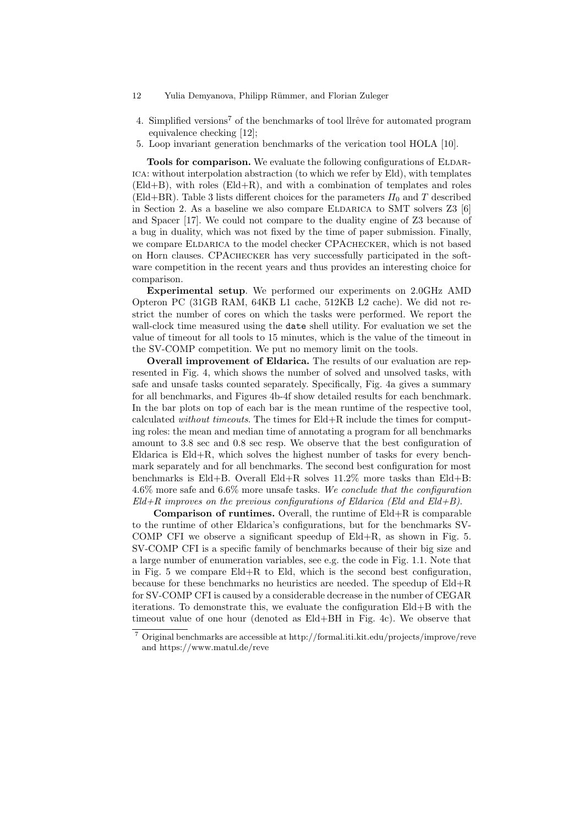- 12 Yulia Demyanova, Philipp Rümmer, and Florian Zuleger
- 4. Simplified versions<sup>7</sup> of the benchmarks of tool llrêve for automated program equivalence checking [12];
- 5. Loop invariant generation benchmarks of the verication tool HOLA [10].

Tools for comparison. We evaluate the following configurations of ELDARica: without interpolation abstraction (to which we refer by Eld), with templates (Eld+B), with roles (Eld+R), and with a combination of templates and roles (Eld+BR). Table 3 lists different choices for the parameters  $\Pi_0$  and T described in Section 2. As a baseline we also compare ELDARICA to SMT solvers  $Z3$  [6] and Spacer [17]. We could not compare to the duality engine of Z3 because of a bug in duality, which was not fixed by the time of paper submission. Finally, we compare ELDARICA to the model checker CPACHECKER, which is not based on Horn clauses. CPAchecker has very successfully participated in the software competition in the recent years and thus provides an interesting choice for comparison.

Experimental setup. We performed our experiments on 2.0GHz AMD Opteron PC (31GB RAM, 64KB L1 cache, 512KB L2 cache). We did not restrict the number of cores on which the tasks were performed. We report the wall-clock time measured using the date shell utility. For evaluation we set the value of timeout for all tools to 15 minutes, which is the value of the timeout in the SV-COMP competition. We put no memory limit on the tools.

Overall improvement of Eldarica. The results of our evaluation are represented in Fig. 4, which shows the number of solved and unsolved tasks, with safe and unsafe tasks counted separately. Specifically, Fig. 4a gives a summary for all benchmarks, and Figures 4b-4f show detailed results for each benchmark. In the bar plots on top of each bar is the mean runtime of the respective tool, calculated without timeouts. The times for Eld+R include the times for computing roles: the mean and median time of annotating a program for all benchmarks amount to 3.8 sec and 0.8 sec resp. We observe that the best configuration of Eldarica is Eld+R, which solves the highest number of tasks for every benchmark separately and for all benchmarks. The second best configuration for most benchmarks is  $EId + B$ . Overall  $EId + R$  solves  $11.2\%$  more tasks than  $EId + B$ :  $4.6\%$  more safe and  $6.6\%$  more unsafe tasks. We conclude that the configuration  $Eld+R$  improves on the previous configurations of Eldarica (Eld and Eld+B).

**Comparison of runtimes.** Overall, the runtime of  $Eld+R$  is comparable to the runtime of other Eldarica's configurations, but for the benchmarks SV-COMP CFI we observe a significant speedup of Eld+R, as shown in Fig. 5. SV-COMP CFI is a specific family of benchmarks because of their big size and a large number of enumeration variables, see e.g. the code in Fig. 1.1. Note that in Fig. 5 we compare  $Eld+R$  to Eld, which is the second best configuration, because for these benchmarks no heuristics are needed. The speedup of Eld+R for SV-COMP CFI is caused by a considerable decrease in the number of CEGAR iterations. To demonstrate this, we evaluate the configuration Eld+B with the timeout value of one hour (denoted as Eld+BH in Fig. 4c). We observe that

<sup>7</sup> Original benchmarks are accessible at http://formal.iti.kit.edu/projects/improve/reve and https://www.matul.de/reve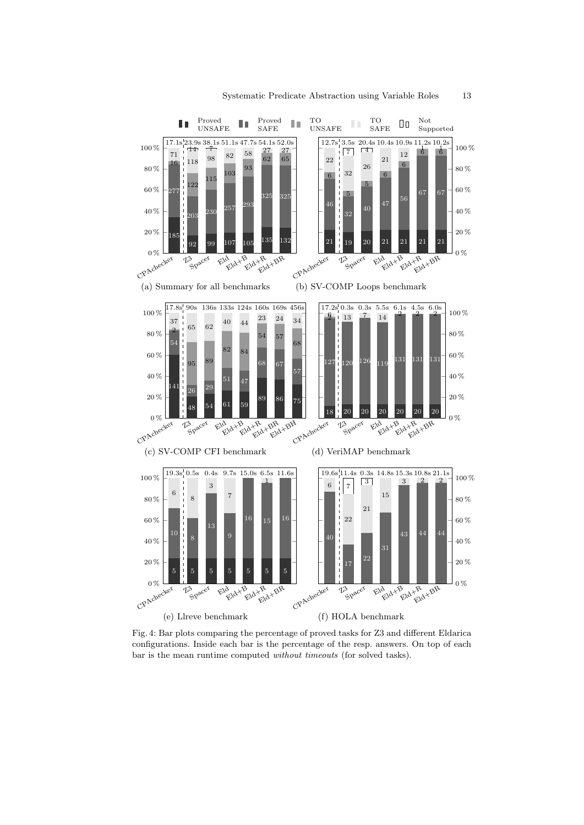

Fig. 4: Bar plots comparing the percentage of proved tasks for Z3 and different Eldarica configurations. Inside each bar is the percentage of the resp. answers. On top of each bar is the mean runtime computed without timeouts (for solved tasks).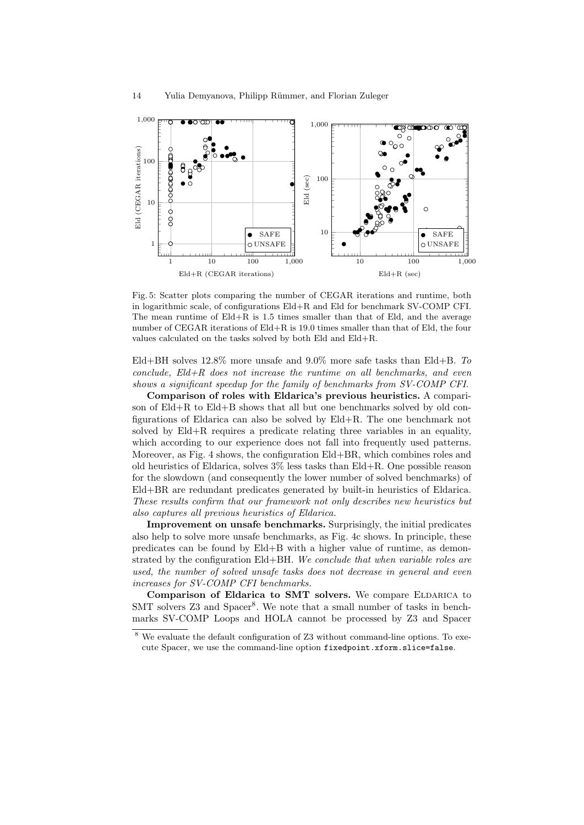

Fig. 5: Scatter plots comparing the number of CEGAR iterations and runtime, both in logarithmic scale, of configurations Eld+R and Eld for benchmark SV-COMP CFI. The mean runtime of  $Eld+R$  is 1.5 times smaller than that of Eld, and the average number of CEGAR iterations of Eld+R is 19.0 times smaller than that of Eld, the four values calculated on the tasks solved by both Eld and Eld+R.

Eld+BH solves  $12.8\%$  more unsafe and  $9.0\%$  more safe tasks than Eld+B. To  $conclude,$   $Eld+R$  does not increase the runtime on all benchmarks, and even shows a significant speedup for the family of benchmarks from SV-COMP CFI.

Comparison of roles with Eldarica's previous heuristics. A comparison of Eld+R to Eld+B shows that all but one benchmarks solved by old configurations of Eldarica can also be solved by Eld+R. The one benchmark not solved by  $EId + R$  requires a predicate relating three variables in an equality, which according to our experience does not fall into frequently used patterns. Moreover, as Fig. 4 shows, the configuration Eld+BR, which combines roles and old heuristics of Eldarica, solves 3% less tasks than Eld+R. One possible reason for the slowdown (and consequently the lower number of solved benchmarks) of Eld+BR are redundant predicates generated by built-in heuristics of Eldarica. These results confirm that our framework not only describes new heuristics but also captures all previous heuristics of Eldarica.

Improvement on unsafe benchmarks. Surprisingly, the initial predicates also help to solve more unsafe benchmarks, as Fig. 4c shows. In principle, these predicates can be found by Eld+B with a higher value of runtime, as demonstrated by the configuration Eld+BH. We conclude that when variable roles are used, the number of solved unsafe tasks does not decrease in general and even increases for SV-COMP CFI benchmarks.

Comparison of Eldarica to SMT solvers. We compare ELDARICA to SMT solvers Z3 and Spacer<sup>8</sup>. We note that a small number of tasks in benchmarks SV-COMP Loops and HOLA cannot be processed by Z3 and Spacer

 $8\,$  We evaluate the default configuration of Z3 without command-line options. To execute Spacer, we use the command-line option fixedpoint.xform.slice=false.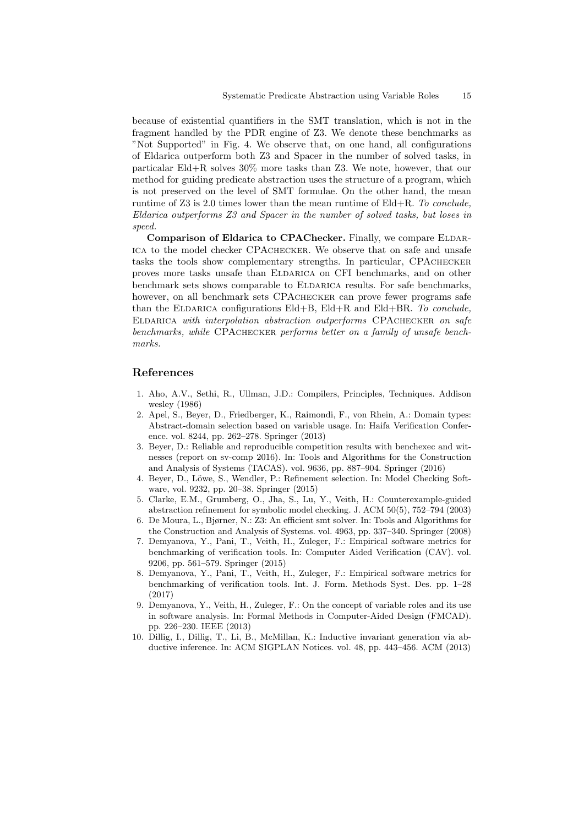because of existential quantifiers in the SMT translation, which is not in the fragment handled by the PDR engine of Z3. We denote these benchmarks as "Not Supported" in Fig. 4. We observe that, on one hand, all configurations of Eldarica outperform both Z3 and Spacer in the number of solved tasks, in particalar Eld+R solves 30% more tasks than Z3. We note, however, that our method for guiding predicate abstraction uses the structure of a program, which is not preserved on the level of SMT formulae. On the other hand, the mean runtime of Z3 is 2.0 times lower than the mean runtime of  $Eld+R$ . To conclude, Eldarica outperforms Z3 and Spacer in the number of solved tasks, but loses in speed.

Comparison of Eldarica to CPAChecker. Finally, we compare ELDARica to the model checker CPAchecker. We observe that on safe and unsafe tasks the tools show complementary strengths. In particular, CPAchecker proves more tasks unsafe than ELDARICA on CFI benchmarks, and on other benchmark sets shows comparable to ELDARICA results. For safe benchmarks, however, on all benchmark sets CPACHECKER can prove fewer programs safe than the ELDARICA configurations Eld+B, Eld+R and Eld+BR. To conclude, ELDARICA with interpolation abstraction outperforms CPACHECKER on safe benchmarks, while CPACHECKER performs better on a family of unsafe benchmarks.

### References

- 1. Aho, A.V., Sethi, R., Ullman, J.D.: Compilers, Principles, Techniques. Addison wesley (1986)
- 2. Apel, S., Beyer, D., Friedberger, K., Raimondi, F., von Rhein, A.: Domain types: Abstract-domain selection based on variable usage. In: Haifa Verification Conference. vol. 8244, pp. 262–278. Springer (2013)
- 3. Beyer, D.: Reliable and reproducible competition results with benchexec and witnesses (report on sv-comp 2016). In: Tools and Algorithms for the Construction and Analysis of Systems (TACAS). vol. 9636, pp. 887–904. Springer (2016)
- 4. Beyer, D., Löwe, S., Wendler, P.: Refinement selection. In: Model Checking Software, vol. 9232, pp. 20–38. Springer (2015)
- 5. Clarke, E.M., Grumberg, O., Jha, S., Lu, Y., Veith, H.: Counterexample-guided abstraction refinement for symbolic model checking. J. ACM 50(5), 752–794 (2003)
- 6. De Moura, L., Bjørner, N.: Z3: An efficient smt solver. In: Tools and Algorithms for the Construction and Analysis of Systems. vol. 4963, pp. 337–340. Springer (2008)
- 7. Demyanova, Y., Pani, T., Veith, H., Zuleger, F.: Empirical software metrics for benchmarking of verification tools. In: Computer Aided Verification (CAV). vol. 9206, pp. 561–579. Springer (2015)
- 8. Demyanova, Y., Pani, T., Veith, H., Zuleger, F.: Empirical software metrics for benchmarking of verification tools. Int. J. Form. Methods Syst. Des. pp. 1–28 (2017)
- 9. Demyanova, Y., Veith, H., Zuleger, F.: On the concept of variable roles and its use in software analysis. In: Formal Methods in Computer-Aided Design (FMCAD). pp. 226–230. IEEE (2013)
- 10. Dillig, I., Dillig, T., Li, B., McMillan, K.: Inductive invariant generation via abductive inference. In: ACM SIGPLAN Notices. vol. 48, pp. 443–456. ACM (2013)